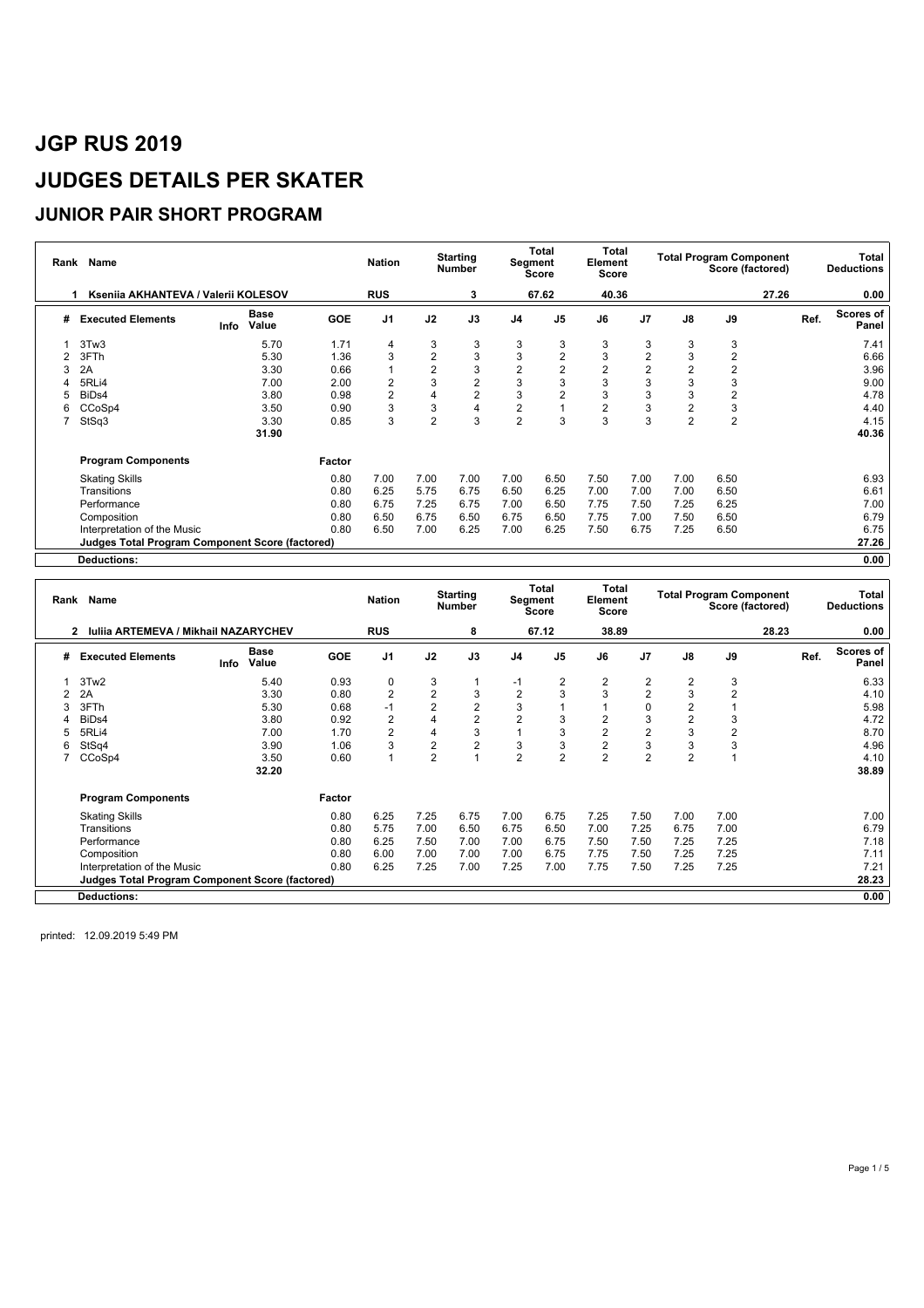### **JUNIOR PAIR SHORT PROGRAM**

| Rank | Name                                                   |      | <b>Nation</b>        |            | <b>Starting</b><br><b>Number</b> |                | <b>Total</b><br>Segment<br><b>Score</b> | Total<br>Element<br>Score |                |                | <b>Total Program Component</b> | Score (factored) |                | Total<br><b>Deductions</b> |      |                           |
|------|--------------------------------------------------------|------|----------------------|------------|----------------------------------|----------------|-----------------------------------------|---------------------------|----------------|----------------|--------------------------------|------------------|----------------|----------------------------|------|---------------------------|
|      | Ksenija AKHANTEVA / Valerij KOLESOV                    |      |                      |            | <b>RUS</b>                       |                | 3                                       |                           | 67.62          | 40.36          |                                |                  |                | 27.26                      |      | 0.00                      |
| #    | <b>Executed Elements</b>                               | Info | <b>Base</b><br>Value | <b>GOE</b> | J <sub>1</sub>                   | J2             | J3                                      | J <sub>4</sub>            | J <sub>5</sub> | J6             | J <sub>7</sub>                 | $\mathsf{J}8$    | J9             |                            | Ref. | <b>Scores of</b><br>Panel |
|      | 3Tw3                                                   |      | 5.70                 | 1.71       | $\overline{4}$                   | 3              | 3                                       | 3                         | 3              | 3              | 3                              | 3                | 3              |                            |      | 7.41                      |
|      | 3FTh                                                   |      | 5.30                 | 1.36       | 3                                | $\overline{2}$ | 3                                       | 3                         | $\overline{2}$ | 3              | $\overline{2}$                 | 3                | $\overline{2}$ |                            |      | 6.66                      |
|      | 2A                                                     |      | 3.30                 | 0.66       |                                  | $\overline{2}$ | 3                                       | 2                         | $\overline{2}$ | $\overline{2}$ | $\overline{2}$                 |                  | $\overline{2}$ |                            |      | 3.96                      |
|      | 5RLi4                                                  |      | 7.00                 | 2.00       | 2                                | 3              | $\overline{2}$                          | 3                         | 3              | 3              | 3                              | 3                | 3              |                            |      | 9.00                      |
|      | BiD <sub>s4</sub>                                      |      | 3.80                 | 0.98       | $\overline{2}$                   |                | $\overline{2}$                          | 3                         | $\overline{2}$ | 3              | 3                              | 3                | $\overline{2}$ |                            |      | 4.78                      |
| 6    | CCoSp4                                                 |      | 3.50                 | 0.90       | 3                                | 3              | 4                                       | 2                         |                | $\overline{2}$ | 3                              | 2                | 3              |                            |      | 4.40                      |
|      | StSq3                                                  |      | 3.30                 | 0.85       | 3                                | $\overline{2}$ | 3                                       | $\overline{2}$            | 3              | 3              | 3                              | $\overline{2}$   | $\overline{2}$ |                            |      | 4.15                      |
|      |                                                        |      | 31.90                |            |                                  |                |                                         |                           |                |                |                                |                  |                |                            |      | 40.36                     |
|      | <b>Program Components</b>                              |      |                      | Factor     |                                  |                |                                         |                           |                |                |                                |                  |                |                            |      |                           |
|      | <b>Skating Skills</b>                                  |      |                      | 0.80       | 7.00                             | 7.00           | 7.00                                    | 7.00                      | 6.50           | 7.50           | 7.00                           | 7.00             | 6.50           |                            |      | 6.93                      |
|      | Transitions                                            |      |                      | 0.80       | 6.25                             | 5.75           | 6.75                                    | 6.50                      | 6.25           | 7.00           | 7.00                           | 7.00             | 6.50           |                            |      | 6.61                      |
|      | Performance                                            |      |                      | 0.80       | 6.75                             | 7.25           | 6.75                                    | 7.00                      | 6.50           | 7.75           | 7.50                           | 7.25             | 6.25           |                            |      | 7.00                      |
|      | Composition                                            |      |                      | 0.80       | 6.50                             | 6.75           | 6.50                                    | 6.75                      | 6.50           | 7.75           | 7.00                           | 7.50             | 6.50           |                            |      | 6.79                      |
|      | Interpretation of the Music                            |      |                      | 0.80       | 6.50                             | 7.00           | 6.25                                    | 7.00                      | 6.25           | 7.50           | 6.75                           | 7.25             | 6.50           |                            |      | 6.75                      |
|      | <b>Judges Total Program Component Score (factored)</b> |      |                      |            |                                  |                |                                         |                           |                |                |                                |                  |                |                            |      | 27.26                     |
|      | <b>Deductions:</b>                                     |      |                      |            |                                  |                |                                         |                           |                |                |                                |                  |                |                            |      | 0.00                      |

|   | Rank Name                                        |                              | <b>Nation</b> |                | <b>Starting</b><br><b>Number</b> | Segment        | Total<br><b>Score</b> | <b>Total</b><br>Element<br><b>Score</b> |                |                | <b>Total Program Component</b> | Score (factored) |       | Total<br><b>Deductions</b> |                    |
|---|--------------------------------------------------|------------------------------|---------------|----------------|----------------------------------|----------------|-----------------------|-----------------------------------------|----------------|----------------|--------------------------------|------------------|-------|----------------------------|--------------------|
|   | <b>Iuliia ARTEMEVA / Mikhail NAZARYCHEV</b><br>2 |                              |               | <b>RUS</b>     |                                  | 8              |                       | 67.12                                   | 38.89          |                |                                |                  | 28.23 |                            | 0.00               |
| # | <b>Executed Elements</b>                         | <b>Base</b><br>Value<br>Info | <b>GOE</b>    | J <sub>1</sub> | J2                               | J3             | J <sub>4</sub>        | J <sub>5</sub>                          | J6             | J7             | J8                             | J9               |       | Ref.                       | Scores of<br>Panel |
|   | 3Tw2                                             | 5.40                         | 0.93          | 0              | 3                                |                | $-1$                  | 2                                       | 2              | 2              | 2                              | 3                |       |                            | 6.33               |
|   | 2A                                               | 3.30                         | 0.80          | $\overline{2}$ | 2                                | 3              | 2                     | 3                                       | 3              | $\overline{2}$ | 3                              | $\overline{2}$   |       |                            | 4.10               |
|   | 3FTh                                             | 5.30                         | 0.68          |                | 2                                | $\overline{2}$ | 3                     |                                         |                | 0              |                                |                  |       |                            | 5.98               |
|   | BiD <sub>s4</sub>                                | 3.80                         | 0.92          | $\overline{2}$ |                                  | $\overline{2}$ | 2                     | 3                                       | $\overline{2}$ | 3              |                                | 3                |       |                            | 4.72               |
|   | 5RLi4                                            | 7.00                         | 1.70          | $\overline{2}$ | 4                                | 3              |                       | 3                                       | $\overline{2}$ | $\overline{2}$ | 3                              | $\overline{2}$   |       |                            | 8.70               |
| 6 | StSq4                                            | 3.90                         | 1.06          | 3              | $\overline{2}$                   | $\overline{2}$ | 3                     | 3                                       | $\overline{2}$ | 3              | 3                              | 3                |       |                            | 4.96               |
|   | CCoSp4                                           | 3.50                         | 0.60          |                | 2                                |                | $\overline{2}$        | $\overline{2}$                          | 2              | $\overline{2}$ | 2                              |                  |       |                            | 4.10               |
|   |                                                  | 32.20                        |               |                |                                  |                |                       |                                         |                |                |                                |                  |       |                            | 38.89              |
|   | <b>Program Components</b>                        |                              | Factor        |                |                                  |                |                       |                                         |                |                |                                |                  |       |                            |                    |
|   | <b>Skating Skills</b>                            |                              | 0.80          | 6.25           | 7.25                             | 6.75           | 7.00                  | 6.75                                    | 7.25           | 7.50           | 7.00                           | 7.00             |       |                            | 7.00               |
|   | Transitions                                      |                              | 0.80          | 5.75           | 7.00                             | 6.50           | 6.75                  | 6.50                                    | 7.00           | 7.25           | 6.75                           | 7.00             |       |                            | 6.79               |
|   | Performance                                      |                              | 0.80          | 6.25           | 7.50                             | 7.00           | 7.00                  | 6.75                                    | 7.50           | 7.50           | 7.25                           | 7.25             |       |                            | 7.18               |
|   | Composition                                      |                              | 0.80          | 6.00           | 7.00                             | 7.00           | 7.00                  | 6.75                                    | 7.75           | 7.50           | 7.25                           | 7.25             |       |                            | 7.11               |
|   | Interpretation of the Music                      |                              | 0.80          | 6.25           | 7.25                             | 7.00           | 7.25                  | 7.00                                    | 7.75           | 7.50           | 7.25                           | 7.25             |       |                            | 7.21               |
|   | Judges Total Program Component Score (factored)  |                              |               |                |                                  |                |                       |                                         |                |                |                                |                  |       |                            | 28.23              |
|   | Deductions:                                      |                              |               |                |                                  |                |                       |                                         |                |                |                                |                  |       |                            | 0.00               |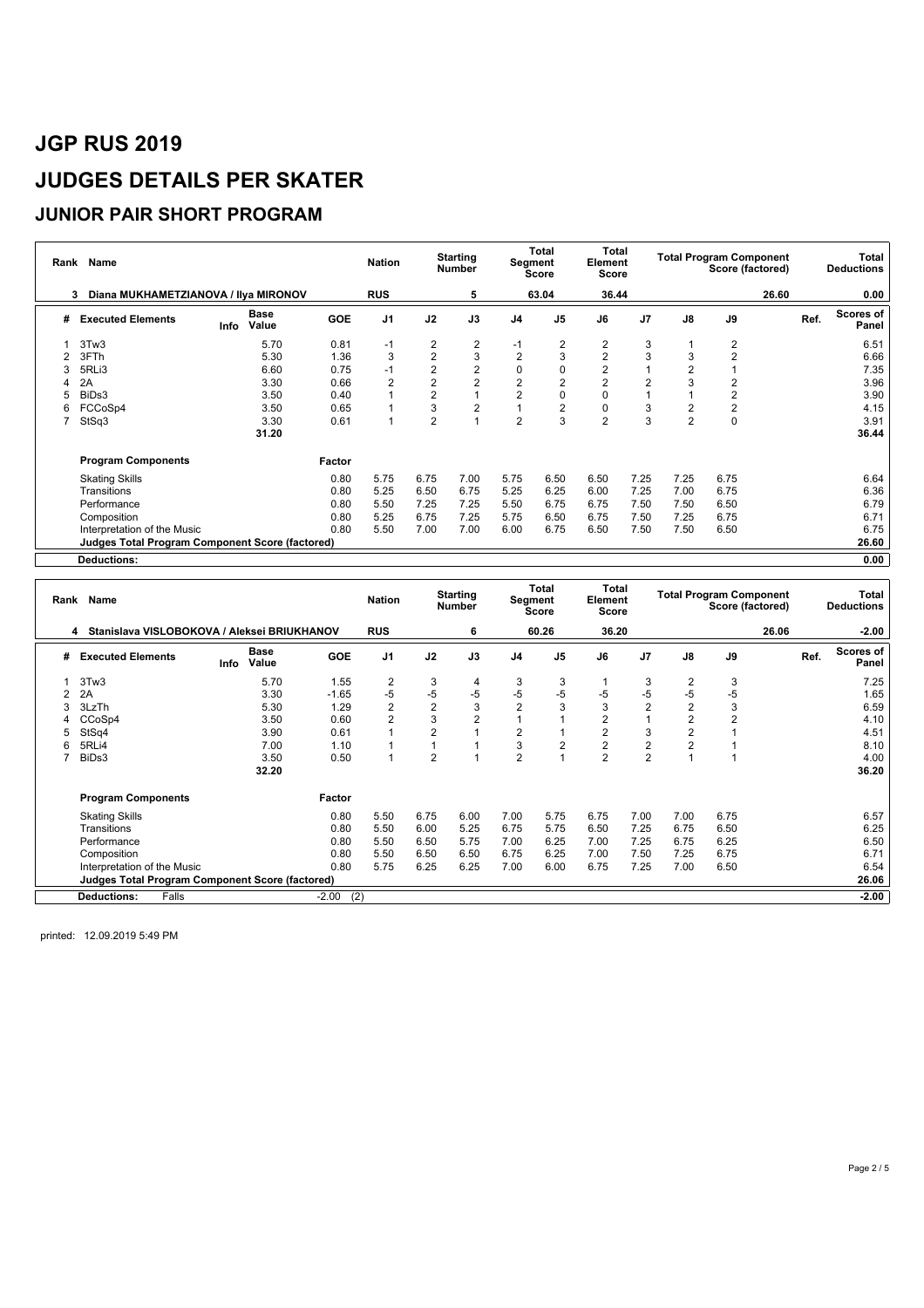#### **JUNIOR PAIR SHORT PROGRAM**

|   | Name<br>Rank                                           |                              |            | <b>Nation</b>  |                | <b>Starting</b><br><b>Number</b> | Segment        | Total<br><b>Score</b> | Total<br>Element<br><b>Score</b> |                |                | <b>Total Program Component</b><br>Score (factored) |       |      | Total<br><b>Deductions</b> |
|---|--------------------------------------------------------|------------------------------|------------|----------------|----------------|----------------------------------|----------------|-----------------------|----------------------------------|----------------|----------------|----------------------------------------------------|-------|------|----------------------------|
|   | Diana MUKHAMETZIANOVA / Ilya MIRONOV<br>3              |                              |            | <b>RUS</b>     |                | 5                                |                | 63.04                 | 36.44                            |                |                |                                                    | 26.60 |      | 0.00                       |
| # | <b>Executed Elements</b>                               | <b>Base</b><br>Value<br>Info | <b>GOE</b> | J <sub>1</sub> | J2             | J3                               | J <sub>4</sub> | J <sub>5</sub>        | J6                               | J <sub>7</sub> | $\mathsf{J}8$  | J9                                                 |       | Ref. | Scores of<br>Panel         |
|   | 3Tw3                                                   | 5.70                         | 0.81       | $-1$           | 2              | 2                                | -1             | $\overline{2}$        | 2                                | 3              |                | 2                                                  |       |      | 6.51                       |
|   | 3FTh                                                   | 5.30                         | 1.36       | 3              | $\overline{2}$ | $\mathbf{3}$                     | $\overline{2}$ | 3                     | $\overline{2}$                   | 3              | 3              | $\overline{2}$                                     |       |      | 6.66                       |
|   | 5RLi3                                                  | 6.60                         | 0.75       | $-1$           | $\overline{2}$ | $\boldsymbol{2}$                 | 0              | $\pmb{0}$             | $\overline{2}$                   |                |                |                                                    |       |      | 7.35                       |
|   | 2A                                                     | 3.30                         | 0.66       | 2              | $\overline{2}$ | $\overline{2}$                   | $\overline{c}$ | $\overline{2}$        | $\overline{2}$                   | 2              |                | $\overline{2}$                                     |       |      | 3.96                       |
| 5 | BiDs3                                                  | 3.50                         | 0.40       |                | $\overline{2}$ |                                  | $\overline{2}$ | $\mathbf 0$           | 0                                |                |                | $\overline{2}$                                     |       |      | 3.90                       |
| 6 | FCCoSp4                                                | 3.50                         | 0.65       |                | 3              | $\overline{2}$                   |                | $\overline{2}$        | 0                                | 3              | 2              | $\overline{2}$                                     |       |      | 4.15                       |
|   | StSq3                                                  | 3.30                         | 0.61       |                | $\overline{2}$ |                                  | 2              | 3                     | $\overline{2}$                   | 3              | $\overline{2}$ | 0                                                  |       |      | 3.91                       |
|   |                                                        | 31.20                        |            |                |                |                                  |                |                       |                                  |                |                |                                                    |       |      | 36.44                      |
|   | <b>Program Components</b>                              |                              | Factor     |                |                |                                  |                |                       |                                  |                |                |                                                    |       |      |                            |
|   | <b>Skating Skills</b>                                  |                              | 0.80       | 5.75           | 6.75           | 7.00                             | 5.75           | 6.50                  | 6.50                             | 7.25           | 7.25           | 6.75                                               |       |      | 6.64                       |
|   | Transitions                                            |                              | 0.80       | 5.25           | 6.50           | 6.75                             | 5.25           | 6.25                  | 6.00                             | 7.25           | 7.00           | 6.75                                               |       |      | 6.36                       |
|   | Performance                                            |                              | 0.80       | 5.50           | 7.25           | 7.25                             | 5.50           | 6.75                  | 6.75                             | 7.50           | 7.50           | 6.50                                               |       |      | 6.79                       |
|   | Composition                                            |                              | 0.80       | 5.25           | 6.75           | 7.25                             | 5.75           | 6.50                  | 6.75                             | 7.50           | 7.25           | 6.75                                               |       |      | 6.71                       |
|   | Interpretation of the Music                            |                              | 0.80       | 5.50           | 7.00           | 7.00                             | 6.00           | 6.75                  | 6.50                             | 7.50           | 7.50           | 6.50                                               |       |      | 6.75                       |
|   | <b>Judges Total Program Component Score (factored)</b> |                              |            |                |                |                                  |                |                       |                                  |                |                |                                                    |       |      | 26.60                      |
|   | <b>Deductions:</b>                                     |                              |            |                |                |                                  |                |                       |                                  |                |                |                                                    |       |      | 0.00                       |

|   | Rank Name<br>Stanislava VISLOBOKOVA / Aleksei BRIUKHANOV |      |                      |                |                |                | <b>Starting</b><br><b>Number</b> |                | Total<br>Segment<br><b>Score</b> | Total<br>Element<br><b>Score</b> |                |                | <b>Total Program Component</b> | Score (factored) |      | Total<br><b>Deductions</b> |
|---|----------------------------------------------------------|------|----------------------|----------------|----------------|----------------|----------------------------------|----------------|----------------------------------|----------------------------------|----------------|----------------|--------------------------------|------------------|------|----------------------------|
|   | 4                                                        |      |                      |                | <b>RUS</b>     |                | 6                                |                | 60.26                            | 36.20                            |                |                |                                | 26.06            |      | $-2.00$                    |
| # | <b>Executed Elements</b>                                 | Info | <b>Base</b><br>Value | <b>GOE</b>     | J <sub>1</sub> | J2             | J3                               | J <sub>4</sub> | J5                               | J6                               | J <sub>7</sub> | $\mathsf{J}8$  | J9                             |                  | Ref. | Scores of<br>Panel         |
|   | 3Tw3                                                     |      | 5.70                 | 1.55           | $\overline{2}$ | 3              | 4                                | 3              | 3                                |                                  | 3              | 2              | 3                              |                  |      | 7.25                       |
|   | 2A                                                       |      | 3.30                 | $-1.65$        | $-5$           | $-5$           | $-5$                             | $-5$           | $-5$                             | -5                               | -5             | -5             | $-5$                           |                  |      | 1.65                       |
|   | 3LzTh                                                    |      | 5.30                 | 1.29           | $\overline{2}$ | $\overline{2}$ | 3                                | $\overline{2}$ | 3                                | 3                                | $\overline{2}$ | $\overline{2}$ | 3                              |                  |      | 6.59                       |
|   | CCoSp4                                                   |      | 3.50                 | 0.60           | $\overline{2}$ | 3              | $\overline{2}$                   |                |                                  | $\overline{2}$                   |                |                | $\overline{2}$                 |                  |      | 4.10                       |
|   | StSq4                                                    |      | 3.90                 | 0.61           |                | $\overline{2}$ | $\overline{A}$                   | $\overline{2}$ | 1                                | $\overline{2}$                   | 3              |                |                                |                  |      | 4.51                       |
|   | 5RLi4                                                    |      | 7.00                 | 1.10           |                |                |                                  | 3              | $\overline{2}$                   | $\overline{2}$                   | $\overline{2}$ |                |                                |                  |      | 8.10                       |
|   | BiDs3                                                    |      | 3.50                 | 0.50           |                | 2              | $\overline{ }$                   | $\overline{2}$ | 1                                | $\overline{2}$                   | $\overline{2}$ |                |                                |                  |      | 4.00                       |
|   |                                                          |      | 32.20                |                |                |                |                                  |                |                                  |                                  |                |                |                                |                  |      | 36.20                      |
|   | <b>Program Components</b>                                |      |                      | Factor         |                |                |                                  |                |                                  |                                  |                |                |                                |                  |      |                            |
|   | <b>Skating Skills</b>                                    |      |                      | 0.80           | 5.50           | 6.75           | 6.00                             | 7.00           | 5.75                             | 6.75                             | 7.00           | 7.00           | 6.75                           |                  |      | 6.57                       |
|   | Transitions                                              |      |                      | 0.80           | 5.50           | 6.00           | 5.25                             | 6.75           | 5.75                             | 6.50                             | 7.25           | 6.75           | 6.50                           |                  |      | 6.25                       |
|   | Performance                                              |      |                      | 0.80           | 5.50           | 6.50           | 5.75                             | 7.00           | 6.25                             | 7.00                             | 7.25           | 6.75           | 6.25                           |                  |      | 6.50                       |
|   | Composition                                              |      |                      | 0.80           | 5.50           | 6.50           | 6.50                             | 6.75           | 6.25                             | 7.00                             | 7.50           | 7.25           | 6.75                           |                  |      | 6.71                       |
|   | Interpretation of the Music                              |      |                      | 0.80           | 5.75           | 6.25           | 6.25                             | 7.00           | 6.00                             | 6.75                             | 7.25           | 7.00           | 6.50                           |                  |      | 6.54                       |
|   | <b>Judges Total Program Component Score (factored)</b>   |      |                      |                |                |                |                                  |                |                                  |                                  |                |                |                                |                  |      | 26.06                      |
|   | <b>Deductions:</b><br>Falls                              |      |                      | (2)<br>$-2.00$ |                |                |                                  |                |                                  |                                  |                |                |                                |                  |      | $-2.00$                    |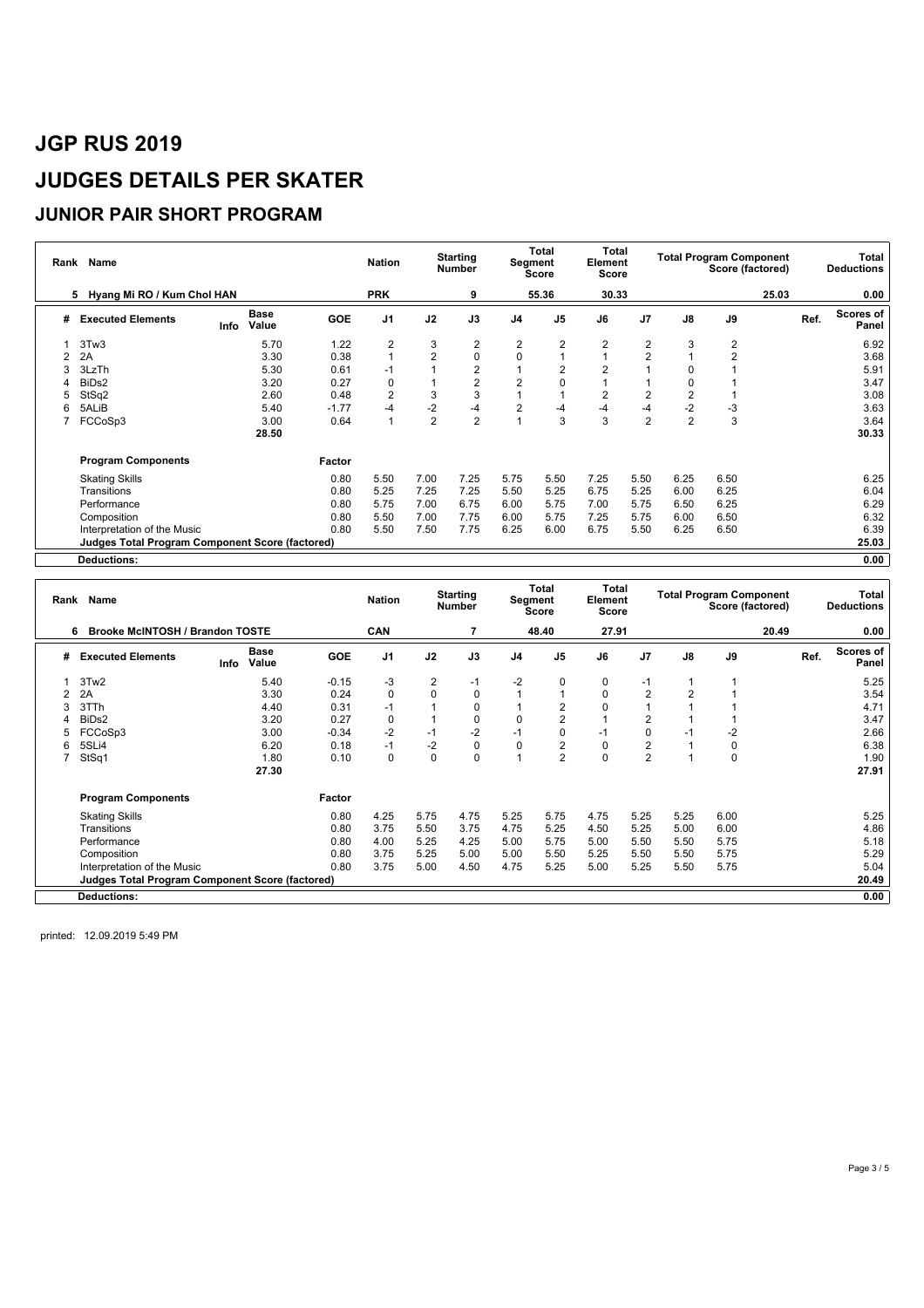### **JUNIOR PAIR SHORT PROGRAM**

| Rank | Name                                                   |      | <b>Nation</b>        |            | <b>Starting</b><br><b>Number</b> |                | <b>Total</b><br>Segment<br>Score | Total<br>Element<br>Score |                         |                | <b>Total Program Component</b><br>Score (factored) |                |                | Total<br><b>Deductions</b> |      |                           |
|------|--------------------------------------------------------|------|----------------------|------------|----------------------------------|----------------|----------------------------------|---------------------------|-------------------------|----------------|----------------------------------------------------|----------------|----------------|----------------------------|------|---------------------------|
|      | Hyang Mi RO / Kum Chol HAN<br>5                        |      |                      |            | <b>PRK</b>                       |                | 9                                |                           | 55.36                   | 30.33          |                                                    |                |                | 25.03                      |      | 0.00                      |
| #    | <b>Executed Elements</b>                               | Info | <b>Base</b><br>Value | <b>GOE</b> | J <sub>1</sub>                   | J2             | J3                               | J <sub>4</sub>            | J <sub>5</sub>          | J6             | J <sub>7</sub>                                     | $\mathsf{J}8$  | J9             |                            | Ref. | <b>Scores of</b><br>Panel |
|      | 3Tw3                                                   |      | 5.70                 | 1.22       | $\overline{2}$                   | 3              | 2                                | $\overline{c}$            | $\overline{\mathbf{c}}$ | $\overline{2}$ | 2                                                  | 3              | 2              |                            |      | 6.92                      |
| 2    | 2A                                                     |      | 3.30                 | 0.38       |                                  | $\overline{2}$ | $\mathbf 0$                      | $\mathbf 0$               |                         |                | $\overline{2}$                                     |                | $\overline{2}$ |                            |      | 3.68                      |
|      | 3LzTh                                                  |      | 5.30                 | 0.61       | $-1$                             |                | $\overline{2}$                   |                           | $\overline{2}$          | $\overline{2}$ |                                                    |                |                |                            |      | 5.91                      |
|      | BiDs2                                                  |      | 3.20                 | 0.27       | 0                                |                | $\sqrt{2}$                       | 2                         | 0                       |                |                                                    |                |                |                            |      | 3.47                      |
|      | StSq2                                                  |      | 2.60                 | 0.48       | $\overline{2}$                   | 3              | 3                                |                           |                         | $\overline{2}$ | $\overline{2}$                                     | $\overline{2}$ |                |                            |      | 3.08                      |
| 6    | 5ALiB                                                  |      | 5.40                 | $-1.77$    | -4                               | $-2$           | $-4$                             | 2                         | $-4$                    | -4             | -4                                                 | $-2$           | $-3$           |                            |      | 3.63                      |
|      | FCCoSp3                                                |      | 3.00                 | 0.64       |                                  | $\overline{2}$ | $\overline{2}$                   |                           | 3                       | 3              | $\overline{2}$                                     | $\overline{2}$ | 3              |                            |      | 3.64                      |
|      |                                                        |      | 28.50                |            |                                  |                |                                  |                           |                         |                |                                                    |                |                |                            |      | 30.33                     |
|      | <b>Program Components</b>                              |      |                      | Factor     |                                  |                |                                  |                           |                         |                |                                                    |                |                |                            |      |                           |
|      | <b>Skating Skills</b>                                  |      |                      | 0.80       | 5.50                             | 7.00           | 7.25                             | 5.75                      | 5.50                    | 7.25           | 5.50                                               | 6.25           | 6.50           |                            |      | 6.25                      |
|      | Transitions                                            |      |                      | 0.80       | 5.25                             | 7.25           | 7.25                             | 5.50                      | 5.25                    | 6.75           | 5.25                                               | 6.00           | 6.25           |                            |      | 6.04                      |
|      | Performance                                            |      |                      | 0.80       | 5.75                             | 7.00           | 6.75                             | 6.00                      | 5.75                    | 7.00           | 5.75                                               | 6.50           | 6.25           |                            |      | 6.29                      |
|      | Composition                                            |      |                      | 0.80       | 5.50                             | 7.00           | 7.75                             | 6.00                      | 5.75                    | 7.25           | 5.75                                               | 6.00           | 6.50           |                            |      | 6.32                      |
|      | Interpretation of the Music                            |      |                      | 0.80       | 5.50                             | 7.50           | 7.75                             | 6.25                      | 6.00                    | 6.75           | 5.50                                               | 6.25           | 6.50           |                            |      | 6.39                      |
|      | <b>Judges Total Program Component Score (factored)</b> |      |                      |            |                                  |                |                                  |                           |                         |                |                                                    |                |                |                            |      | 25.03                     |
|      | <b>Deductions:</b>                                     |      |                      |            |                                  |                |                                  |                           |                         |                |                                                    |                |                |                            |      | 0.00                      |

|   | Rank Name<br><b>Brooke McINTOSH / Brandon TOSTE</b><br>6 |      |                      |         |                |          | <b>Starting</b><br><b>Number</b> | Segment        | Total<br><b>Score</b> | <b>Total</b><br>Element<br>Score |                |      | <b>Total Program Component</b> | Score (factored) |      | Total<br><b>Deductions</b> |
|---|----------------------------------------------------------|------|----------------------|---------|----------------|----------|----------------------------------|----------------|-----------------------|----------------------------------|----------------|------|--------------------------------|------------------|------|----------------------------|
|   |                                                          |      |                      |         | <b>CAN</b>     |          | 7                                |                | 48.40                 | 27.91                            |                |      |                                | 20.49            |      | 0.00                       |
| # | <b>Executed Elements</b>                                 | Info | <b>Base</b><br>Value | GOE     | J <sub>1</sub> | J2       | J3                               | J <sub>4</sub> | J <sub>5</sub>        | J6                               | J <sub>7</sub> | J8   | J9                             |                  | Ref. | Scores of<br>Panel         |
|   | 3Tw2                                                     |      | 5.40                 | $-0.15$ | -3             | 2        | $-1$                             | $-2$           | 0                     | 0                                | $-1$           |      |                                |                  |      | 5.25                       |
|   | 2A                                                       |      | 3.30                 | 0.24    | $\Omega$       | 0        | 0                                |                |                       | $\mathbf 0$                      | $\overline{2}$ |      |                                |                  |      | 3.54                       |
|   | 3TTh                                                     |      | 4.40                 | 0.31    | $-1$           |          | $\mathbf 0$                      |                | $\overline{2}$        |                                  |                |      |                                |                  |      | 4.71                       |
|   | BiD <sub>s2</sub>                                        |      | 3.20                 | 0.27    | $\Omega$       |          | $\mathbf 0$                      |                | $\overline{2}$        |                                  | $\overline{2}$ |      |                                |                  |      | 3.47                       |
| 5 | FCCoSp3                                                  |      | 3.00                 | $-0.34$ | $-2$           | $-1$     | $-2$                             | $-1$           | 0                     | $-1$                             | 0              | ÷    | $-2$                           |                  |      | 2.66                       |
| 6 | 5SLi4                                                    |      | 6.20                 | 0.18    | $-1$           | -2       | $\mathbf 0$                      | $\mathbf 0$    | $\overline{2}$        | 0                                | $\overline{2}$ |      | $\mathbf 0$                    |                  |      | 6.38                       |
|   | StSq1                                                    |      | 1.80                 | 0.10    | 0              | $\Omega$ | $\Omega$                         |                | $\overline{2}$        | $\Omega$                         | $\overline{2}$ |      | $\Omega$                       |                  |      | 1.90                       |
|   |                                                          |      | 27.30                |         |                |          |                                  |                |                       |                                  |                |      |                                |                  |      | 27.91                      |
|   | <b>Program Components</b>                                |      |                      | Factor  |                |          |                                  |                |                       |                                  |                |      |                                |                  |      |                            |
|   | <b>Skating Skills</b>                                    |      |                      | 0.80    | 4.25           | 5.75     | 4.75                             | 5.25           | 5.75                  | 4.75                             | 5.25           | 5.25 | 6.00                           |                  |      | 5.25                       |
|   | Transitions                                              |      |                      | 0.80    | 3.75           | 5.50     | 3.75                             | 4.75           | 5.25                  | 4.50                             | 5.25           | 5.00 | 6.00                           |                  |      | 4.86                       |
|   | Performance                                              |      |                      | 0.80    | 4.00           | 5.25     | 4.25                             | 5.00           | 5.75                  | 5.00                             | 5.50           | 5.50 | 5.75                           |                  |      | 5.18                       |
|   | Composition                                              |      |                      | 0.80    | 3.75           | 5.25     | 5.00                             | 5.00           | 5.50                  | 5.25                             | 5.50           | 5.50 | 5.75                           |                  |      | 5.29                       |
|   | Interpretation of the Music                              |      |                      | 0.80    | 3.75           | 5.00     | 4.50                             | 4.75           | 5.25                  | 5.00                             | 5.25           | 5.50 | 5.75                           |                  |      | 5.04                       |
|   | <b>Judges Total Program Component Score (factored)</b>   |      |                      |         |                |          |                                  |                |                       |                                  |                |      |                                |                  |      | 20.49                      |
|   | Deductions:                                              |      |                      |         |                |          |                                  |                |                       |                                  |                |      |                                |                  |      | 0.00                       |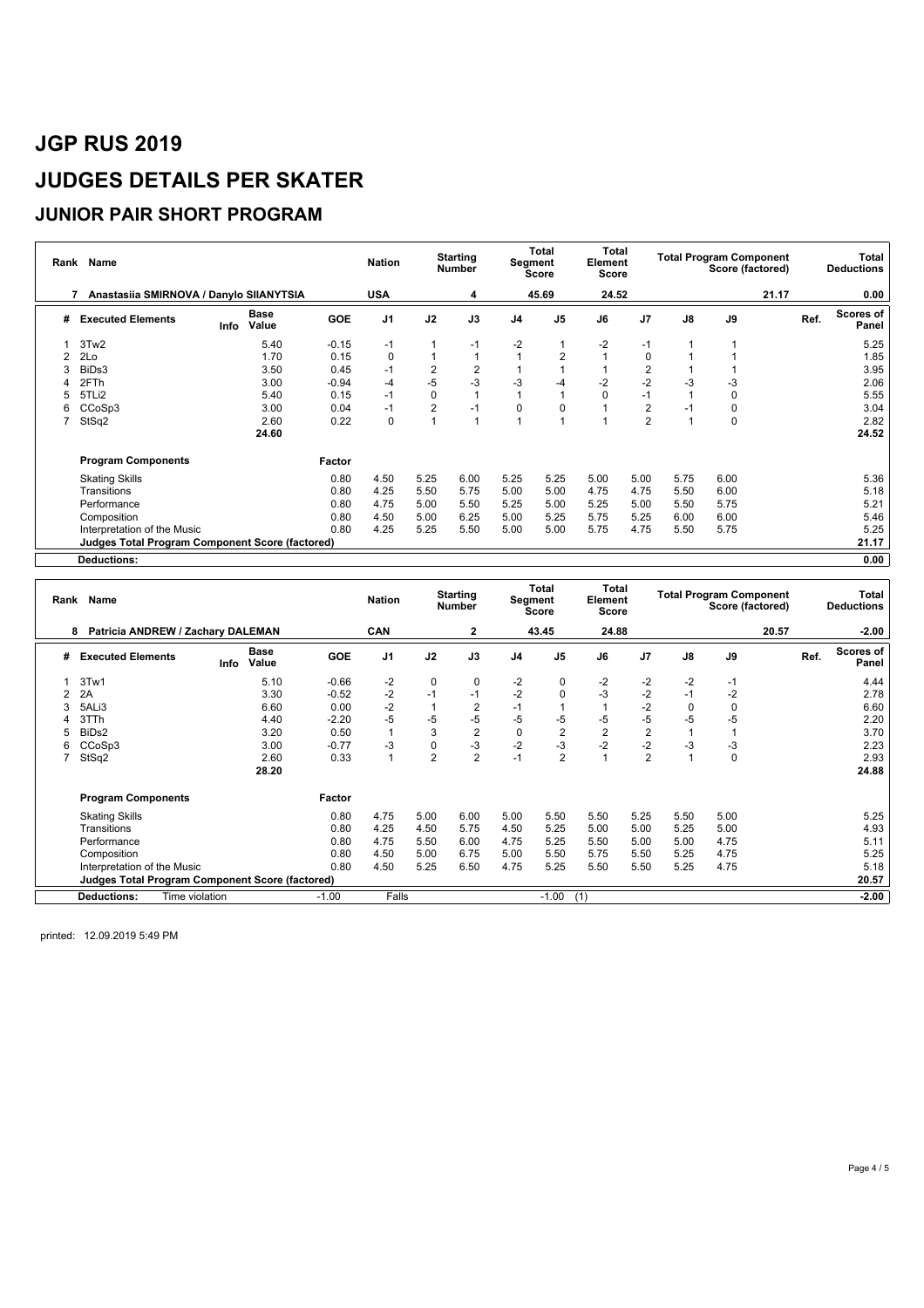#### **JUNIOR PAIR SHORT PROGRAM**

| Rank | Name                                                   |                              | <b>Nation</b> |                | <b>Starting</b><br><b>Number</b> |                | Total<br>Segment<br><b>Score</b> | Total<br>Element<br>Score |                |                | <b>Total Program Component</b><br>Score (factored) |             | Total<br><b>Deductions</b> |                    |
|------|--------------------------------------------------------|------------------------------|---------------|----------------|----------------------------------|----------------|----------------------------------|---------------------------|----------------|----------------|----------------------------------------------------|-------------|----------------------------|--------------------|
|      | Anastasiia SMIRNOVA / Danylo SIIANYTSIA                |                              |               | <b>USA</b>     |                                  | 4              |                                  | 45.69                     | 24.52          |                |                                                    |             | 21.17                      | 0.00               |
| #    | <b>Executed Elements</b>                               | <b>Base</b><br>Value<br>Info | <b>GOE</b>    | J <sub>1</sub> | J2                               | J3             | J <sub>4</sub>                   | J <sub>5</sub>            | J6             | J <sub>7</sub> | $\mathsf{J}8$                                      | J9          | Ref.                       | Scores of<br>Panel |
|      | 3Tw2                                                   | 5.40                         | $-0.15$       | $-1$           |                                  | $-1$           | $-2$                             | 1                         | $-2$           | $-1$           |                                                    |             |                            | 5.25               |
| 2    | 2Lo                                                    | 1.70                         | 0.15          | $\Omega$       |                                  |                |                                  | $\overline{2}$            | $\overline{A}$ | 0              |                                                    |             |                            | 1.85               |
|      | BiDs3                                                  | 3.50                         | 0.45          | $-1$           | $\overline{2}$                   | $\overline{2}$ |                                  |                           |                | $\overline{2}$ |                                                    |             |                            | 3.95               |
|      | 2FTh                                                   | 3.00                         | $-0.94$       | $-4$           | $-5$                             | $-3$           | $-3$                             | $-4$                      | $-2$           | $-2$           | -3                                                 | $-3$        |                            | 2.06               |
|      | 5TLi2                                                  | 5.40                         | 0.15          | $-1$           | 0                                |                |                                  |                           | 0              | $-1$           |                                                    | $\mathbf 0$ |                            | 5.55               |
| 6.   | CCoSp3                                                 | 3.00                         | 0.04          | $-1$           | 2                                | $-1$           | 0                                | 0                         |                | $\overline{2}$ |                                                    | 0           |                            | 3.04               |
|      | StSq2                                                  | 2.60                         | 0.22          | 0              |                                  |                |                                  |                           |                | $\overline{2}$ |                                                    | 0           |                            | 2.82               |
|      |                                                        | 24.60                        |               |                |                                  |                |                                  |                           |                |                |                                                    |             |                            | 24.52              |
|      | <b>Program Components</b>                              |                              | Factor        |                |                                  |                |                                  |                           |                |                |                                                    |             |                            |                    |
|      | <b>Skating Skills</b>                                  |                              | 0.80          | 4.50           | 5.25                             | 6.00           | 5.25                             | 5.25                      | 5.00           | 5.00           | 5.75                                               | 6.00        |                            | 5.36               |
|      | Transitions                                            |                              | 0.80          | 4.25           | 5.50                             | 5.75           | 5.00                             | 5.00                      | 4.75           | 4.75           | 5.50                                               | 6.00        |                            | 5.18               |
|      | Performance                                            |                              | 0.80          | 4.75           | 5.00                             | 5.50           | 5.25                             | 5.00                      | 5.25           | 5.00           | 5.50                                               | 5.75        |                            | 5.21               |
|      | Composition                                            |                              | 0.80          | 4.50           | 5.00                             | 6.25           | 5.00                             | 5.25                      | 5.75           | 5.25           | 6.00                                               | 6.00        |                            | 5.46               |
|      | Interpretation of the Music                            |                              | 0.80          | 4.25           | 5.25                             | 5.50           | 5.00                             | 5.00                      | 5.75           | 4.75           | 5.50                                               | 5.75        |                            | 5.25               |
|      | <b>Judges Total Program Component Score (factored)</b> |                              |               |                |                                  |                |                                  |                           |                |                |                                                    |             |                            | 21.17              |
|      | <b>Deductions:</b>                                     |                              |               |                |                                  |                |                                  |                           |                |                |                                                    |             |                            | 0.00               |

|   | Rank Name                                              |                |                      |            | <b>Nation</b>  |                | <b>Starting</b><br><b>Number</b> |                | Total<br>Segment<br><b>Score</b> | <b>Total</b><br>Element<br>Score |                |      | <b>Total Program Component</b><br>Score (factored) |       |      | Total<br><b>Deductions</b> |
|---|--------------------------------------------------------|----------------|----------------------|------------|----------------|----------------|----------------------------------|----------------|----------------------------------|----------------------------------|----------------|------|----------------------------------------------------|-------|------|----------------------------|
|   | Patricia ANDREW / Zachary DALEMAN<br>8                 |                |                      |            | <b>CAN</b>     |                | $\mathbf{2}$                     |                | 43.45                            | 24.88                            |                |      |                                                    | 20.57 |      | $-2.00$                    |
| # | <b>Executed Elements</b>                               | Info           | <b>Base</b><br>Value | <b>GOE</b> | J <sub>1</sub> | J2             | J3                               | J <sub>4</sub> | J <sub>5</sub>                   | J6                               | J7             | J8   | J9                                                 |       | Ref. | Scores of<br>Panel         |
|   | 3Tw1                                                   |                | 5.10                 | $-0.66$    | $-2$           | 0              | 0                                | $-2$           | 0                                | $-2$                             | $-2$           | $-2$ | $-1$                                               |       |      | 4.44                       |
|   | 2A                                                     |                | 3.30                 | $-0.52$    | $-2$           | $-1$           | $-1$                             | $-2$           | $\mathbf 0$                      | $-3$                             | $-2$           | $-1$ | $-2$                                               |       |      | 2.78                       |
|   | 5ALi3                                                  |                | 6.60                 | 0.00       | $-2$           |                | $\overline{2}$                   | $-1$           |                                  |                                  | $-2$           |      | 0                                                  |       |      | 6.60                       |
|   | 3TTh                                                   |                | 4.40                 | $-2.20$    | $-5$           | -5             | $-5$                             | $-5$           | $-5$                             | -5                               | $-5$           | $-5$ | $-5$                                               |       |      | 2.20                       |
|   | BiD <sub>s2</sub>                                      |                | 3.20                 | 0.50       |                | 3              | $\overline{2}$                   | 0              | $\overline{2}$                   | $\overline{2}$                   | $\overline{2}$ |      |                                                    |       |      | 3.70                       |
| 6 | CCoSp3                                                 |                | 3.00                 | $-0.77$    | -3             | 0              | -3                               | $-2$           | -3                               | $-2$                             | $-2$           | -3   | $-3$                                               |       |      | 2.23                       |
|   | StSq2                                                  |                | 2.60                 | 0.33       |                | $\overline{2}$ | $\overline{2}$                   | $-1$           | $\overline{2}$                   |                                  | $\overline{2}$ |      | 0                                                  |       |      | 2.93                       |
|   |                                                        |                | 28.20                |            |                |                |                                  |                |                                  |                                  |                |      |                                                    |       |      | 24.88                      |
|   | <b>Program Components</b>                              |                |                      | Factor     |                |                |                                  |                |                                  |                                  |                |      |                                                    |       |      |                            |
|   | <b>Skating Skills</b>                                  |                |                      | 0.80       | 4.75           | 5.00           | 6.00                             | 5.00           | 5.50                             | 5.50                             | 5.25           | 5.50 | 5.00                                               |       |      | 5.25                       |
|   | Transitions                                            |                |                      | 0.80       | 4.25           | 4.50           | 5.75                             | 4.50           | 5.25                             | 5.00                             | 5.00           | 5.25 | 5.00                                               |       |      | 4.93                       |
|   | Performance                                            |                |                      | 0.80       | 4.75           | 5.50           | 6.00                             | 4.75           | 5.25                             | 5.50                             | 5.00           | 5.00 | 4.75                                               |       |      | 5.11                       |
|   | Composition                                            |                |                      | 0.80       | 4.50           | 5.00           | 6.75                             | 5.00           | 5.50                             | 5.75                             | 5.50           | 5.25 | 4.75                                               |       |      | 5.25                       |
|   | Interpretation of the Music                            |                |                      | 0.80       | 4.50           | 5.25           | 6.50                             | 4.75           | 5.25                             | 5.50                             | 5.50           | 5.25 | 4.75                                               |       |      | 5.18                       |
|   | <b>Judges Total Program Component Score (factored)</b> |                |                      |            |                |                |                                  |                |                                  |                                  |                |      |                                                    |       |      | 20.57                      |
|   | <b>Deductions:</b>                                     | Time violation |                      | $-1.00$    | Falls          |                |                                  |                | $-1.00$                          | (1)                              |                |      |                                                    |       |      | $-2.00$                    |